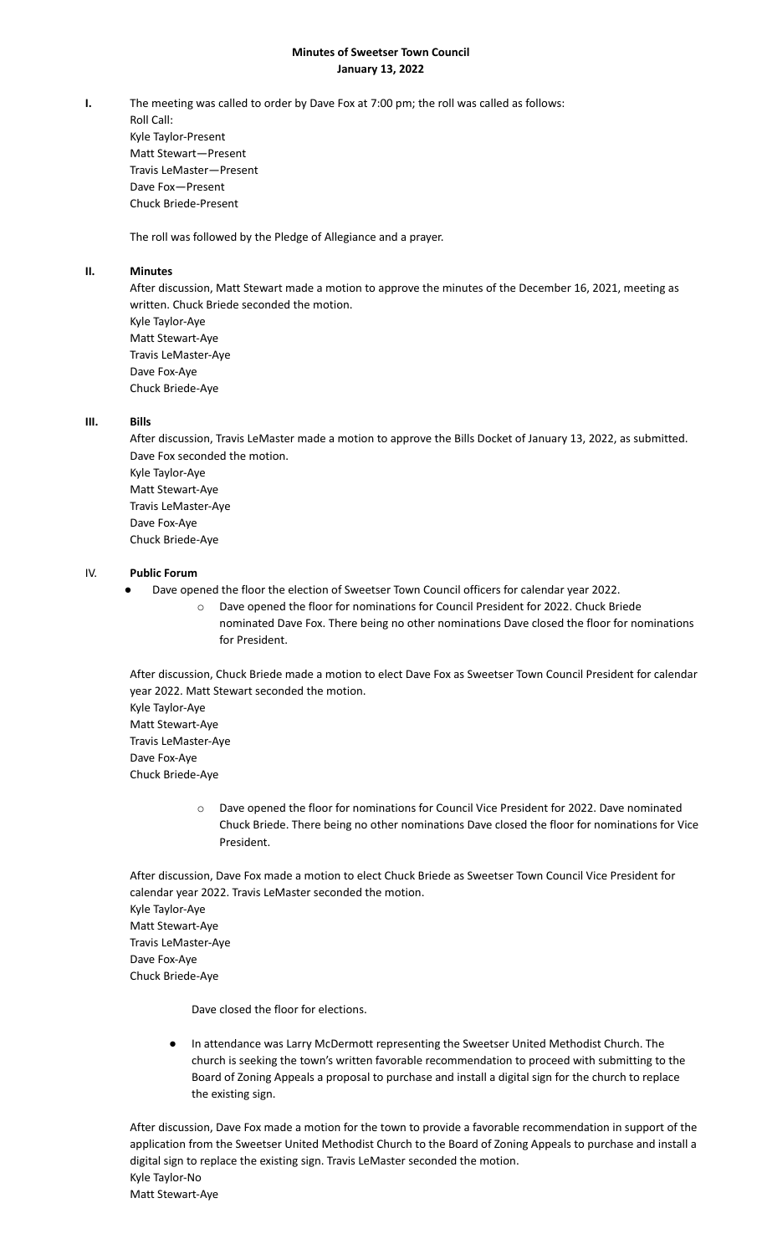#### **Minutes of Sweetser Town Council January 13, 2022**

**I.** The meeting was called to order by Dave Fox at 7:00 pm; the roll was called as follows: Roll Call: Kyle Taylor-Present Matt Stewart—Present Travis LeMaster—Present Dave Fox—Present Chuck Briede-Present

The roll was followed by the Pledge of Allegiance and a prayer.

# **II. Minutes**

After discussion, Matt Stewart made a motion to approve the minutes of the December 16, 2021, meeting as written. Chuck Briede seconded the motion. Kyle Taylor-Aye Matt Stewart-Aye Travis LeMaster-Aye Dave Fox-Aye Chuck Briede-Aye

## **III. Bills**

After discussion, Travis LeMaster made a motion to approve the Bills Docket of January 13, 2022, as submitted. Dave Fox seconded the motion. Kyle Taylor-Aye Matt Stewart-Aye Travis LeMaster-Aye Dave Fox-Aye Chuck Briede-Aye

## IV. **Public Forum**

- Dave opened the floor the election of Sweetser Town Council officers for calendar year 2022.
	- o Dave opened the floor for nominations for Council President for 2022. Chuck Briede nominated Dave Fox. There being no other nominations Dave closed the floor for nominations for President.

After discussion, Chuck Briede made a motion to elect Dave Fox as Sweetser Town Council President for calendar year 2022. Matt Stewart seconded the motion.

Kyle Taylor-Aye Matt Stewart-Aye Travis LeMaster-Aye Dave Fox-Aye Chuck Briede-Aye

> o Dave opened the floor for nominations for Council Vice President for 2022. Dave nominated Chuck Briede. There being no other nominations Dave closed the floor for nominations for Vice President.

After discussion, Dave Fox made a motion to elect Chuck Briede as Sweetser Town Council Vice President for calendar year 2022. Travis LeMaster seconded the motion. Kyle Taylor-Aye Matt Stewart-Aye Travis LeMaster-Aye Dave Fox-Aye Chuck Briede-Aye

Dave closed the floor for elections.

In attendance was Larry McDermott representing the Sweetser United Methodist Church. The church is seeking the town's written favorable recommendation to proceed with submitting to the Board of Zoning Appeals a proposal to purchase and install a digital sign for the church to replace the existing sign.

After discussion, Dave Fox made a motion for the town to provide a favorable recommendation in support of the application from the Sweetser United Methodist Church to the Board of Zoning Appeals to purchase and install a digital sign to replace the existing sign. Travis LeMaster seconded the motion. Kyle Taylor-No Matt Stewart-Aye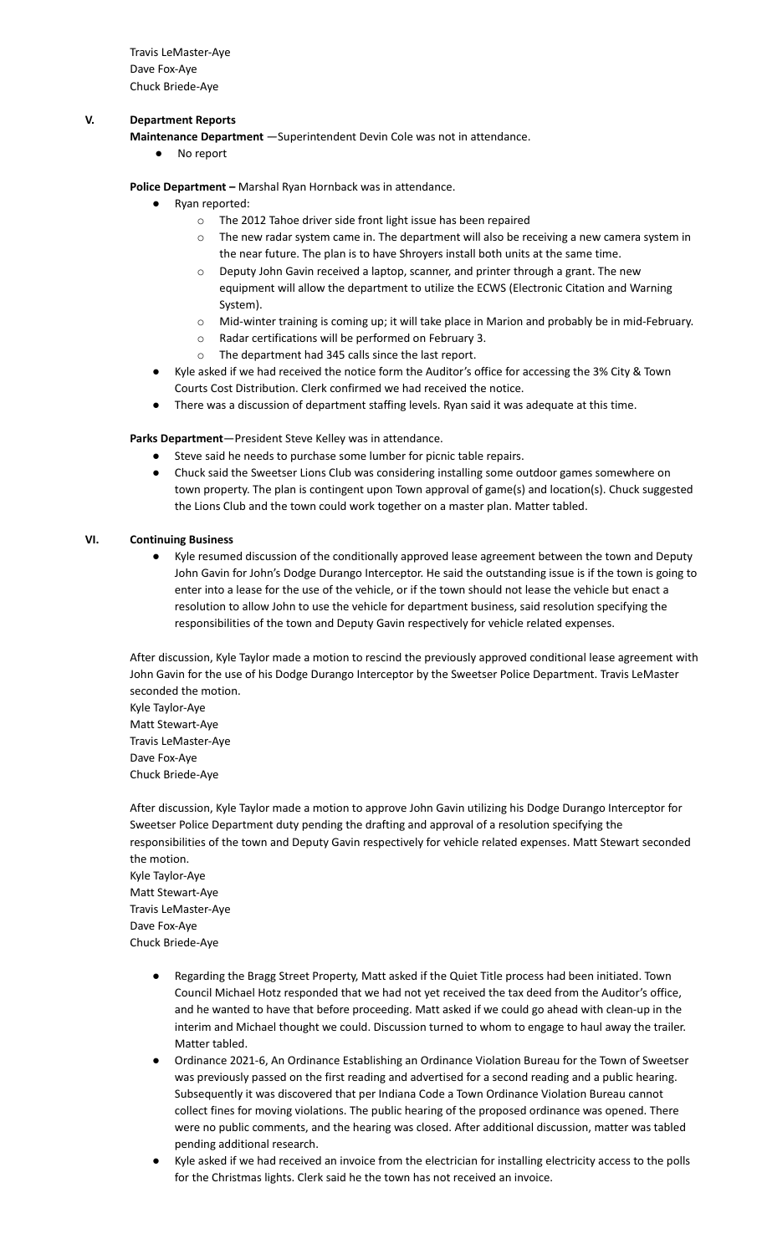Travis LeMaster-Aye Dave Fox-Aye Chuck Briede-Aye

### **V. Department Reports**

**Maintenance Department** —Superintendent Devin Cole was not in attendance.

● No report

**Police Department –** Marshal Ryan Hornback was in attendance.

- Ryan reported:
	- o The 2012 Tahoe driver side front light issue has been repaired
	- o The new radar system came in. The department will also be receiving a new camera system in the near future. The plan is to have Shroyers install both units at the same time.
	- o Deputy John Gavin received a laptop, scanner, and printer through a grant. The new equipment will allow the department to utilize the ECWS (Electronic Citation and Warning System).
	- o Mid-winter training is coming up; it will take place in Marion and probably be in mid-February.
	- o Radar certifications will be performed on February 3.
	- o The department had 345 calls since the last report.
- Kyle asked if we had received the notice form the Auditor's office for accessing the 3% City & Town Courts Cost Distribution. Clerk confirmed we had received the notice.
- There was a discussion of department staffing levels. Ryan said it was adequate at this time.

#### **Parks Department**—President Steve Kelley was in attendance.

- Steve said he needs to purchase some lumber for picnic table repairs.
- Chuck said the Sweetser Lions Club was considering installing some outdoor games somewhere on town property. The plan is contingent upon Town approval of game(s) and location(s). Chuck suggested the Lions Club and the town could work together on a master plan. Matter tabled.

#### **VI. Continuing Business**

● Kyle resumed discussion of the conditionally approved lease agreement between the town and Deputy John Gavin for John's Dodge Durango Interceptor. He said the outstanding issue is if the town is going to enter into a lease for the use of the vehicle, or if the town should not lease the vehicle but enact a resolution to allow John to use the vehicle for department business, said resolution specifying the responsibilities of the town and Deputy Gavin respectively for vehicle related expenses.

After discussion, Kyle Taylor made a motion to rescind the previously approved conditional lease agreement with John Gavin for the use of his Dodge Durango Interceptor by the Sweetser Police Department. Travis LeMaster seconded the motion.

Kyle Taylor-Aye Matt Stewart-Aye Travis LeMaster-Aye Dave Fox-Aye Chuck Briede-Aye

After discussion, Kyle Taylor made a motion to approve John Gavin utilizing his Dodge Durango Interceptor for Sweetser Police Department duty pending the drafting and approval of a resolution specifying the responsibilities of the town and Deputy Gavin respectively for vehicle related expenses. Matt Stewart seconded the motion.

Kyle Taylor-Aye Matt Stewart-Aye Travis LeMaster-Aye Dave Fox-Aye Chuck Briede-Aye

- Regarding the Bragg Street Property, Matt asked if the Quiet Title process had been initiated. Town Council Michael Hotz responded that we had not yet received the tax deed from the Auditor's office, and he wanted to have that before proceeding. Matt asked if we could go ahead with clean-up in the interim and Michael thought we could. Discussion turned to whom to engage to haul away the trailer. Matter tabled.
- Ordinance 2021-6, An Ordinance Establishing an Ordinance Violation Bureau for the Town of Sweetser was previously passed on the first reading and advertised for a second reading and a public hearing. Subsequently it was discovered that per Indiana Code a Town Ordinance Violation Bureau cannot collect fines for moving violations. The public hearing of the proposed ordinance was opened. There were no public comments, and the hearing was closed. After additional discussion, matter was tabled pending additional research.
- Kyle asked if we had received an invoice from the electrician for installing electricity access to the polls for the Christmas lights. Clerk said he the town has not received an invoice.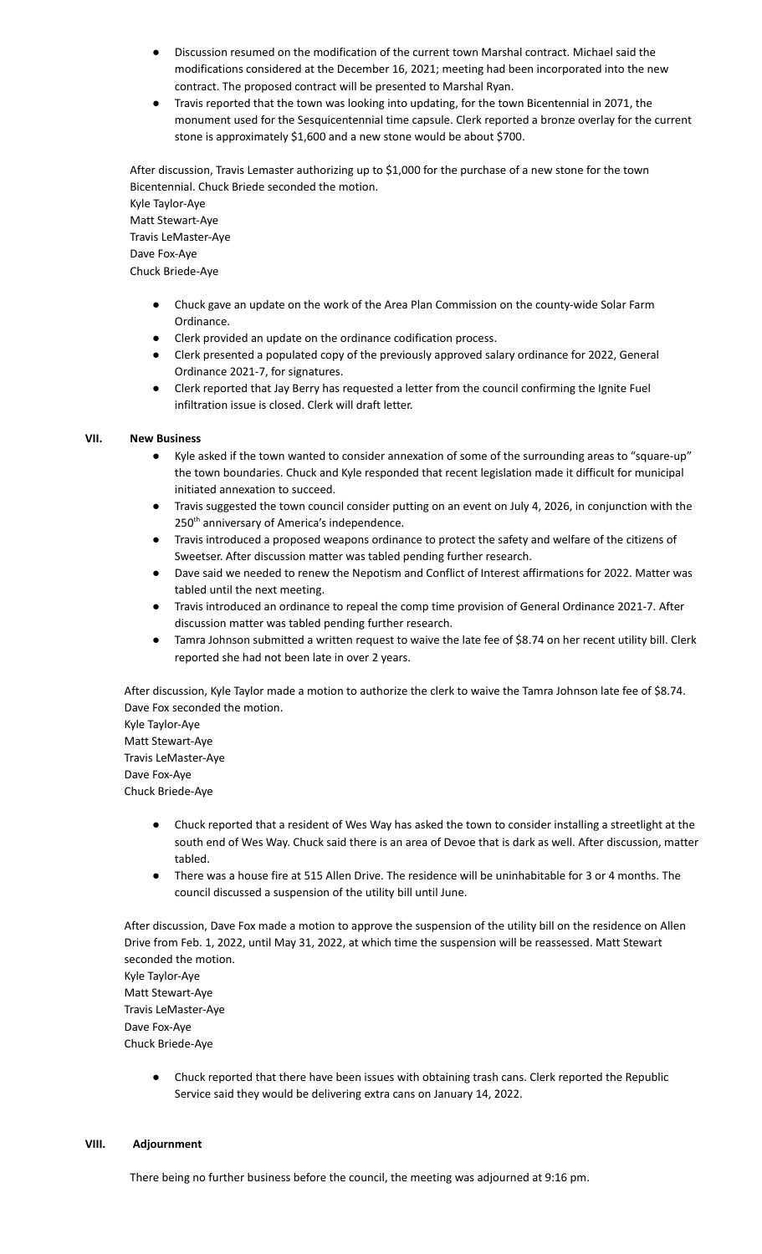- Discussion resumed on the modification of the current town Marshal contract. Michael said the modifications considered at the December 16, 2021; meeting had been incorporated into the new contract. The proposed contract will be presented to Marshal Ryan.
- Travis reported that the town was looking into updating, for the town Bicentennial in 2071, the monument used for the Sesquicentennial time capsule. Clerk reported a bronze overlay for the current stone is approximately \$1,600 and a new stone would be about \$700.

After discussion, Travis Lemaster authorizing up to \$1,000 for the purchase of a new stone for the town Bicentennial. Chuck Briede seconded the motion.

Kyle Taylor-Aye Matt Stewart-Aye Travis LeMaster-Aye Dave Fox-Aye Chuck Briede-Aye

- Chuck gave an update on the work of the Area Plan Commission on the county-wide Solar Farm Ordinance.
- Clerk provided an update on the ordinance codification process.
- Clerk presented a populated copy of the previously approved salary ordinance for 2022, General Ordinance 2021-7, for signatures.
- Clerk reported that Jay Berry has requested a letter from the council confirming the Ignite Fuel infiltration issue is closed. Clerk will draft letter.

# **VII. New Business**

- Kyle asked if the town wanted to consider annexation of some of the surrounding areas to "square-up" the town boundaries. Chuck and Kyle responded that recent legislation made it difficult for municipal initiated annexation to succeed.
- Travis suggested the town council consider putting on an event on July 4, 2026, in conjunction with the 250<sup>th</sup> anniversary of America's independence.
- Travis introduced a proposed weapons ordinance to protect the safety and welfare of the citizens of Sweetser. After discussion matter was tabled pending further research.
- Dave said we needed to renew the Nepotism and Conflict of Interest affirmations for 2022. Matter was tabled until the next meeting.
- Travis introduced an ordinance to repeal the comp time provision of General Ordinance 2021-7. After discussion matter was tabled pending further research.
- Tamra Johnson submitted a written request to waive the late fee of \$8.74 on her recent utility bill. Clerk reported she had not been late in over 2 years.

After discussion, Kyle Taylor made a motion to authorize the clerk to waive the Tamra Johnson late fee of \$8.74. Dave Fox seconded the motion.

Kyle Taylor-Aye Matt Stewart-Aye Travis LeMaster-Aye Dave Fox-Aye Chuck Briede-Aye

- Chuck reported that a resident of Wes Way has asked the town to consider installing a streetlight at the south end of Wes Way. Chuck said there is an area of Devoe that is dark as well. After discussion, matter tabled.
- There was a house fire at 515 Allen Drive. The residence will be uninhabitable for 3 or 4 months. The council discussed a suspension of the utility bill until June.

After discussion, Dave Fox made a motion to approve the suspension of the utility bill on the residence on Allen Drive from Feb. 1, 2022, until May 31, 2022, at which time the suspension will be reassessed. Matt Stewart seconded the motion. Kyle Taylor-Aye Matt Stewart-Aye Travis LeMaster-Aye Dave Fox-Aye Chuck Briede-Aye

Chuck reported that there have been issues with obtaining trash cans. Clerk reported the Republic Service said they would be delivering extra cans on January 14, 2022.

#### **VIII. Adjournment**

There being no further business before the council, the meeting was adjourned at 9:16 pm.